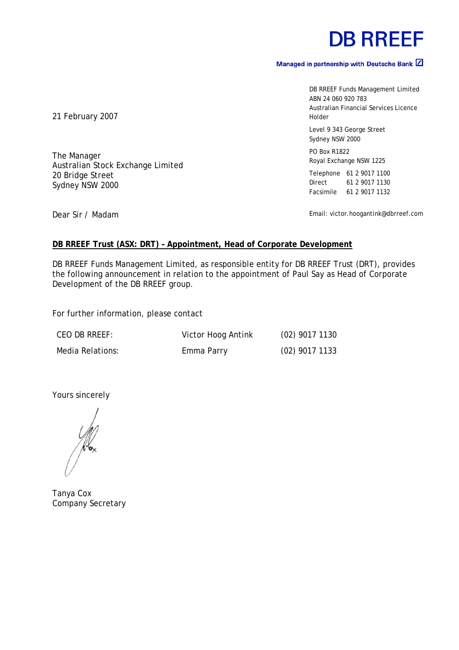# **DB RREEF**

### Managed in partnership with Deutsche Bank Z

DB RREEF Funds Management Limited ABN 24 060 920 783 Australian Financial Services Licence Holder

Level 9 343 George Street Sydney NSW 2000

PO Box R1822 Royal Exchange NSW 1225

Telephone 61 2 9017 1100 Direct 61 2 9017 1130 Facsimile 61 2 9017 1132

Dear Sir / Madam

Email: victor.hoogantink@dbrreef.com

### **DB RREEF Trust (ASX: DRT) – Appointment, Head of Corporate Development**

DB RREEF Funds Management Limited, as responsible entity for DB RREEF Trust (DRT), provides the following announcement in relation to the appointment of Paul Say as Head of Corporate Development of the DB RREEF group.

For further information, please contact

Australian Stock Exchange Limited

| CEO DB RREEF:    | Victor Hoog Antink | $(02)$ 9017 1130 |
|------------------|--------------------|------------------|
| Media Relations: | Emma Parry         | $(02)$ 9017 1133 |

Yours sincerely

Tanya Cox Company Secretary

21 February 2007

The Manager

20 Bridge Street Sydney NSW 2000